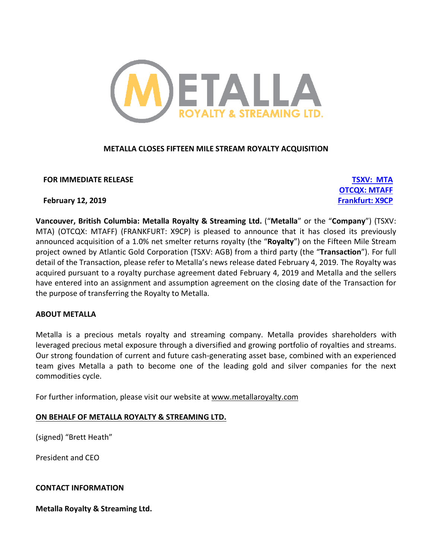

# **METALLA CLOSES FIFTEEN MILE STREAM ROYALTY ACQUISITION**

**FOR IMMEDIATE RELEASE TSXV: MTA**

**OTCQX: MTAFF**

**February 12, 2019 Frankfurt: X9CP**

**Vancouver, British Columbia: Metalla Royalty & Streaming Ltd.** ("**Metalla**" or the "**Company**") (TSXV: MTA) (OTCQX: MTAFF) (FRANKFURT: X9CP) is pleased to announce that it has closed its previously announced acquisition of a 1.0% net smelter returns royalty (the "**Royalty**") on the Fifteen Mile Stream project owned by Atlantic Gold Corporation (TSXV: AGB) from a third party (the "**Transaction**"). For full detail of the Transaction, please refer to Metalla's news release dated February 4, 2019. The Royalty was acquired pursuant to a royalty purchase agreement dated February 4, 2019 and Metalla and the sellers have entered into an assignment and assumption agreement on the closing date of the Transaction for the purpose of transferring the Royalty to Metalla.

# **ABOUT METALLA**

Metalla is a precious metals royalty and streaming company. Metalla provides shareholders with leveraged precious metal exposure through a diversified and growing portfolio of royalties and streams. Our strong foundation of current and future cash-generating asset base, combined with an experienced team gives Metalla a path to become one of the leading gold and silver companies for the next commodities cycle.

For further information, please visit our website at www.metallaroyalty.com

# **ON BEHALF OF METALLA ROYALTY & STREAMING LTD.**

(signed) "Brett Heath"

President and CEO

# **CONTACT INFORMATION**

**Metalla Royalty & Streaming Ltd.**